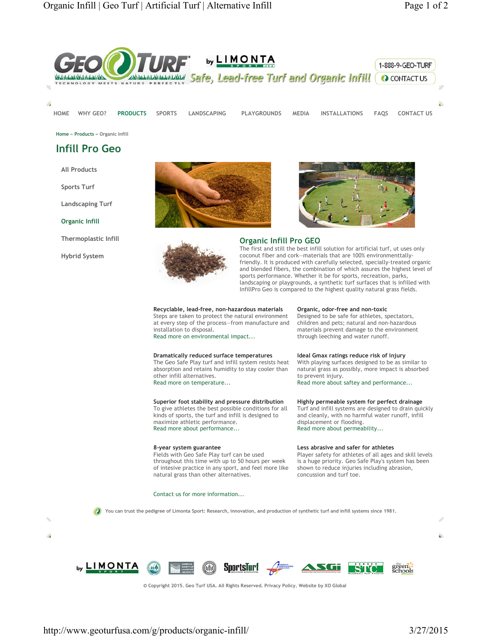

**HOME WHY GEO? PRODUCTS SPORTS LANDSCAPING PLAYGROUNDS MEDIA INSTALLATIONS FAQS CONTACT US**

**Home » Products » Organic Infill**

# **Infill Pro Geo**

**All Products**

**Sports Turf**

**Landscaping Turf**

**Organic Infill**

**Thermoplastic Infill**

**Hybrid System**

i.





# **Organic Infill Pro GEO**

The first and still the best infill solution for artificial turf, ut uses only coconut fiber and cork—materials that are 100% environmenttallyfriendly. It is produced with carefully selected, specially-treated organic and blended fibers, the combination of which assures the highest level of sports performance. Whether it be for sports, recreation, parks, landscaping or playgrounds, a synthetic turf surfaces that is infilled with InfillPro Geo is compared to the highest quality natural grass fields.

#### **Recyclable, lead-free, non-hazardous materials**

Steps are taken to protect the natural environment at every step of the process—from manufacture and installation to disposal. Read more on environmental impact...

## **Dramatically reduced surface temperatures**

The Geo Safe Play turf and infill system resists heat absorption and retains humidity to stay cooler than other infill alternatives. Read more on temperature...

## **Superior foot stability and pressure distribution** To give athletes the best possible conditions for all

kinds of sports, the turf and infill is designed to maximize athletic performance. Read more about performance...

#### **8-year system guarantee**

Fields with Geo Safe Play turf can be used throughout this time with up to 50 hours per week of intesive practice in any sport, and feel more like natural grass than other alternatives.

## Contact us for more information...

# **Organic, odor-free and non-toxic**

Designed to be safe for athletes, spectators, children and pets; natural and non-hazardous materials prevent damage to the environment through leeching and water runoff.

#### **Ideal Gmax ratings reduce risk of injury**

With playing surfaces designed to be as similar to natural grass as possibly, more impact is absorbed to prevent injury.

Read more about saftey and performance...

## **Highly permeable system for perfect drainage**

Turf and infill systems are designed to drain quickly and cleanly, with no harmful water runoff, infill displacement or flooding. Read more about permeability...

#### **Less abrasive and safer for athletes**

Player safety for athletes of all ages and skill levels is a huge priority. Geo Safe Play's system has been shown to reduce injuries including abrasion, concussion and turf toe.

**You can trust the pedigree of Limonta Sport: Research, innovation, and production of synthetic turf and infill systems since 1981.**









**© Copyright 2015. Geo Turf USA. All Rights Reserved. Privacy Policy. Website by XO Global**

b.